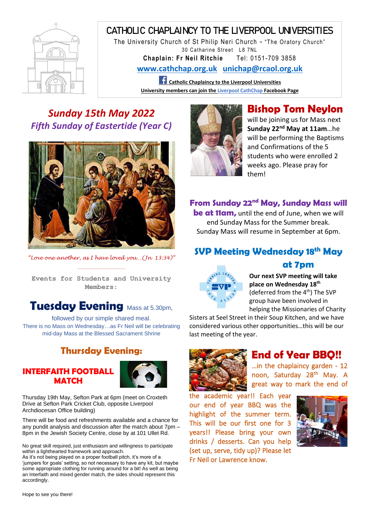

# CATHOLIC CHAPLAINCY TO THE LIVERPOOL UNIVERSITIES

The University Church of St Philip Neri Church ~ "The Oratory Church" 30 Catharine Street L8 7NL

**Chaplain: Fr Neil Ritchie** Tel: 0151-709 3858

**[www.cathchap.org.uk](http://www.cathchap.org.uk/) [unichap@rcaol.org.uk](mailto:unichap@rcaol.org.uk)**

**Catholic Chaplaincy to the Liverpool Universities University members can join the Liverpool CathChap Facebook Page**

## *Sunday 15th May 2022 Fifth Sunday of Eastertide (Year C)*



*"Love one another, as I have loved you…(Jn 13:34)"* ----------------------------------------------------------

**Events for Students and University Members:**

## **Tuesday Evening** Mass at 5.30pm,

followed by our simple shared meal. There is no Mass on Wednesday…as Fr Neil will be celebrating mid-day Mass at the Blessed Sacrament Shrine

### **Thursday Evening:**

#### **INTERFAITH FOOTBALL MATCH**



Thursday 19th May, Sefton Park at 6pm (meet on Croxteth Drive at Sefton Park Cricket Club, opposite Liverpool Archdiocesan Office building)

There will be food and refreshments available and a chance for any pundit analysis and discussion after the match about 7pm – 8pm in the Jewish Society Centre, close by at 101 Ullet Rd.

No great skill required, just enthusiasm and willingness to participate within a lighthearted framework and approach.

As it's not being played on a proper football pitch, it's more of a 'jumpers for goals' setting, so not necessary to have any kit, but maybe some appropriate clothing for running around for a bit! As well as being an Interfaith and mixed gender match, the sides should represent this accordingly.



# **Bishop Tom Neylon**

will be joining us for Mass next **Sunday 22nd May at 11am**…he will be performing the Baptisms and Confirmations of the 5 students who were enrolled 2 weeks ago. Please pray for them!

#### **From Sunday 22nd May, Sunday Mass will**

**be at 11am,** until the end of June, when we will end Sunday Mass for the Summer break. Sunday Mass will resume in September at 6pm.

## **SVP Meeting Wednesday 18th May**



#### **at 7pm**

**Our next SVP meeting will take place on Wednesday 18th** (deferred from the 4<sup>th</sup>) The SVP group have been involved in helping the Missionaries of Charity

Sisters at Seel Street in their Soup Kitchen, and we have considered various other opportunities…this will be our last meeting of the year.



#### **End of Year BBQ!!**

…in the chaplaincy garden - 12 noon, Saturday 28<sup>th</sup> May. A great way to mark the end of

the academic year!! Each year our end of year BBQ was the highlight of the summer term. This will be our first one for 3 years!! Please bring your own drinks / desserts. Can you help (set up, serve, tidy up)? Please let Fr Neil or Lawrence know.